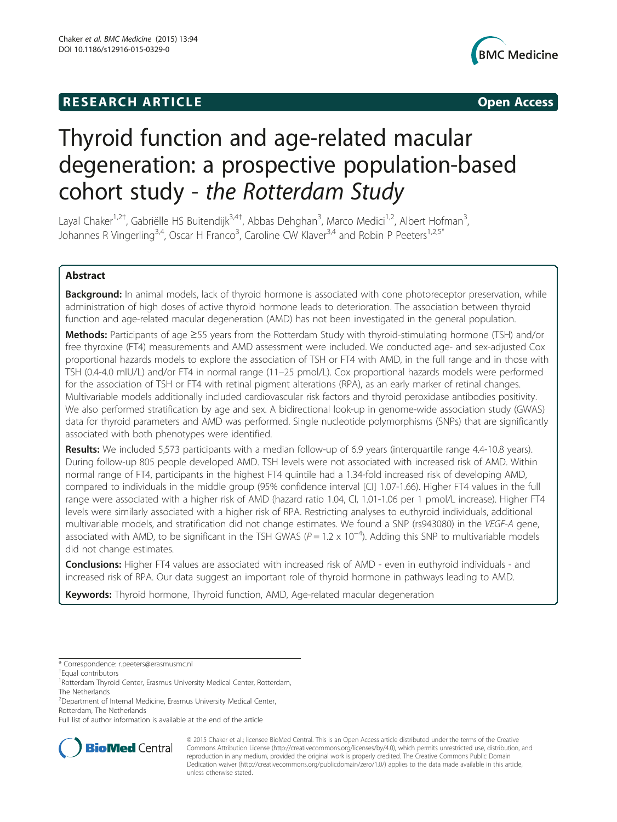# **RESEARCH ARTICLE Example 2014 The SEAR CH ACCESS**



# Thyroid function and age-related macular degeneration: a prospective population-based cohort study - the Rotterdam Study

Layal Chaker<sup>1,2†</sup>, Gabriëlle HS Buitendijk<sup>3,4†</sup>, Abbas Dehghan<sup>3</sup>, Marco Medici<sup>1,2</sup>, Albert Hofman<sup>3</sup> , Johannes R Vingerling<sup>3,4</sup>, Oscar H Franco<sup>3</sup>, Caroline CW Klaver<sup>3,4</sup> and Robin P Peeters<sup>1,2,5\*</sup>

# Abstract

Background: In animal models, lack of thyroid hormone is associated with cone photoreceptor preservation, while administration of high doses of active thyroid hormone leads to deterioration. The association between thyroid function and age-related macular degeneration (AMD) has not been investigated in the general population.

Methods: Participants of age ≥55 years from the Rotterdam Study with thyroid-stimulating hormone (TSH) and/or free thyroxine (FT4) measurements and AMD assessment were included. We conducted age- and sex-adjusted Cox proportional hazards models to explore the association of TSH or FT4 with AMD, in the full range and in those with TSH (0.4-4.0 mIU/L) and/or FT4 in normal range (11–25 pmol/L). Cox proportional hazards models were performed for the association of TSH or FT4 with retinal pigment alterations (RPA), as an early marker of retinal changes. Multivariable models additionally included cardiovascular risk factors and thyroid peroxidase antibodies positivity. We also performed stratification by age and sex. A bidirectional look-up in genome-wide association study (GWAS) data for thyroid parameters and AMD was performed. Single nucleotide polymorphisms (SNPs) that are significantly associated with both phenotypes were identified.

Results: We included 5,573 participants with a median follow-up of 6.9 years (interquartile range 4.4-10.8 years). During follow-up 805 people developed AMD. TSH levels were not associated with increased risk of AMD. Within normal range of FT4, participants in the highest FT4 quintile had a 1.34-fold increased risk of developing AMD, compared to individuals in the middle group (95% confidence interval [CI] 1.07-1.66). Higher FT4 values in the full range were associated with a higher risk of AMD (hazard ratio 1.04, CI, 1.01-1.06 per 1 pmol/L increase). Higher FT4 levels were similarly associated with a higher risk of RPA. Restricting analyses to euthyroid individuals, additional multivariable models, and stratification did not change estimates. We found a SNP (rs943080) in the VEGF-A gene, associated with AMD, to be significant in the TSH GWAS ( $P = 1.2 \times 10^{-4}$ ). Adding this SNP to multivariable models<br>did not change estimates did not change estimates.

Conclusions: Higher FT4 values are associated with increased risk of AMD - even in euthyroid individuals - and increased risk of RPA. Our data suggest an important role of thyroid hormone in pathways leading to AMD.

Keywords: Thyroid hormone, Thyroid function, AMD, Age-related macular degeneration

Equal contributors

Full list of author information is available at the end of the article



© 2015 Chaker et al.; licensee BioMed Central. This is an Open Access article distributed under the terms of the Creative Commons Attribution License [\(http://creativecommons.org/licenses/by/4.0\)](http://creativecommons.org/licenses/by/4.0), which permits unrestricted use, distribution, and reproduction in any medium, provided the original work is properly credited. The Creative Commons Public Domain Dedication waiver [\(http://creativecommons.org/publicdomain/zero/1.0/](http://creativecommons.org/publicdomain/zero/1.0/)) applies to the data made available in this article, unless otherwise stated.

<sup>\*</sup> Correspondence: [r.peeters@erasmusmc.nl](mailto:r.peeters@erasmusmc.nl) †

<sup>&</sup>lt;sup>1</sup> Rotterdam Thyroid Center, Erasmus University Medical Center, Rotterdam, The Netherlands

<sup>&</sup>lt;sup>2</sup> Department of Internal Medicine, Erasmus University Medical Center, Rotterdam, The Netherlands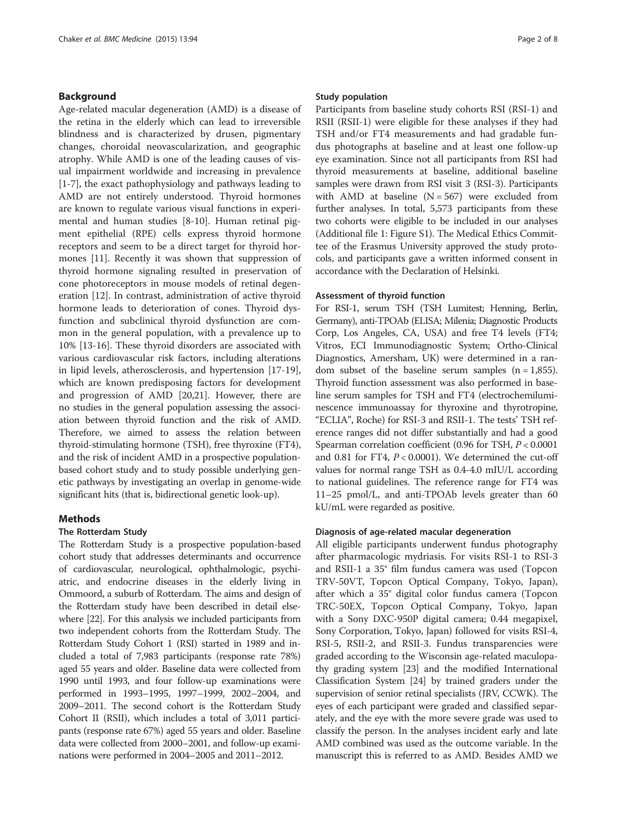# Background

Age-related macular degeneration (AMD) is a disease of the retina in the elderly which can lead to irreversible blindness and is characterized by drusen, pigmentary changes, choroidal neovascularization, and geographic atrophy. While AMD is one of the leading causes of visual impairment worldwide and increasing in prevalence [[1](#page-6-0)[-7](#page-7-0)], the exact pathophysiology and pathways leading to AMD are not entirely understood. Thyroid hormones are known to regulate various visual functions in experimental and human studies [\[8](#page-7-0)-[10\]](#page-7-0). Human retinal pigment epithelial (RPE) cells express thyroid hormone receptors and seem to be a direct target for thyroid hormones [[11\]](#page-7-0). Recently it was shown that suppression of thyroid hormone signaling resulted in preservation of cone photoreceptors in mouse models of retinal degeneration [[12\]](#page-7-0). In contrast, administration of active thyroid hormone leads to deterioration of cones. Thyroid dysfunction and subclinical thyroid dysfunction are common in the general population, with a prevalence up to 10% [[13-16\]](#page-7-0). These thyroid disorders are associated with various cardiovascular risk factors, including alterations in lipid levels, atherosclerosis, and hypertension [\[17-19](#page-7-0)], which are known predisposing factors for development and progression of AMD [[20](#page-7-0),[21](#page-7-0)]. However, there are no studies in the general population assessing the association between thyroid function and the risk of AMD. Therefore, we aimed to assess the relation between thyroid-stimulating hormone (TSH), free thyroxine (FT4), and the risk of incident AMD in a prospective populationbased cohort study and to study possible underlying genetic pathways by investigating an overlap in genome-wide significant hits (that is, bidirectional genetic look-up).

# Methods

# The Rotterdam Study

The Rotterdam Study is a prospective population-based cohort study that addresses determinants and occurrence of cardiovascular, neurological, ophthalmologic, psychiatric, and endocrine diseases in the elderly living in Ommoord, a suburb of Rotterdam. The aims and design of the Rotterdam study have been described in detail elsewhere [[22](#page-7-0)]. For this analysis we included participants from two independent cohorts from the Rotterdam Study. The Rotterdam Study Cohort 1 (RSI) started in 1989 and included a total of 7,983 participants (response rate 78%) aged 55 years and older. Baseline data were collected from 1990 until 1993, and four follow-up examinations were performed in 1993–1995, 1997–1999, 2002–2004, and 2009–2011. The second cohort is the Rotterdam Study Cohort II (RSII), which includes a total of 3,011 participants (response rate 67%) aged 55 years and older. Baseline data were collected from 2000–2001, and follow-up examinations were performed in 2004–2005 and 2011–2012.

#### Study population

Participants from baseline study cohorts RSI (RSI-1) and RSII (RSII-1) were eligible for these analyses if they had TSH and/or FT4 measurements and had gradable fundus photographs at baseline and at least one follow-up eye examination. Since not all participants from RSI had thyroid measurements at baseline, additional baseline samples were drawn from RSI visit 3 (RSI-3). Participants with AMD at baseline  $(N = 567)$  were excluded from further analyses. In total, 5,573 participants from these two cohorts were eligible to be included in our analyses (Additional file [1](#page-6-0): Figure S1). The Medical Ethics Committee of the Erasmus University approved the study protocols, and participants gave a written informed consent in accordance with the Declaration of Helsinki.

#### Assessment of thyroid function

For RSI-1, serum TSH (TSH Lumitest; Henning, Berlin, Germany), anti-TPOAb (ELISA; Milenia; Diagnostic Products Corp, Los Angeles, CA, USA) and free T4 levels (FT4; Vitros, ECI Immunodiagnostic System; Ortho-Clinical Diagnostics, Amersham, UK) were determined in a random subset of the baseline serum samples  $(n = 1,855)$ . Thyroid function assessment was also performed in baseline serum samples for TSH and FT4 (electrochemiluminescence immunoassay for thyroxine and thyrotropine, "ECLIA", Roche) for RSI-3 and RSII-1. The tests' TSH reference ranges did not differ substantially and had a good Spearman correlation coefficient (0.96 for TSH, P < 0.0001 and 0.81 for FT4,  $P < 0.0001$ ). We determined the cut-off values for normal range TSH as 0.4-4.0 mIU/L according to national guidelines. The reference range for FT4 was 11–25 pmol/L, and anti-TPOAb levels greater than 60 kU/mL were regarded as positive.

#### Diagnosis of age-related macular degeneration

All eligible participants underwent fundus photography after pharmacologic mydriasis. For visits RSI-1 to RSI-3 and RSII-1 a 35° film fundus camera was used (Topcon TRV-50VT, Topcon Optical Company, Tokyo, Japan), after which a 35° digital color fundus camera (Topcon TRC-50EX, Topcon Optical Company, Tokyo, Japan with a Sony DXC-950P digital camera; 0.44 megapixel, Sony Corporation, Tokyo, Japan) followed for visits RSI-4, RSI-5, RSII-2, and RSII-3. Fundus transparencies were graded according to the Wisconsin age-related maculopathy grading system [\[23\]](#page-7-0) and the modified International Classification System [[24](#page-7-0)] by trained graders under the supervision of senior retinal specialists (JRV, CCWK). The eyes of each participant were graded and classified separately, and the eye with the more severe grade was used to classify the person. In the analyses incident early and late AMD combined was used as the outcome variable. In the manuscript this is referred to as AMD. Besides AMD we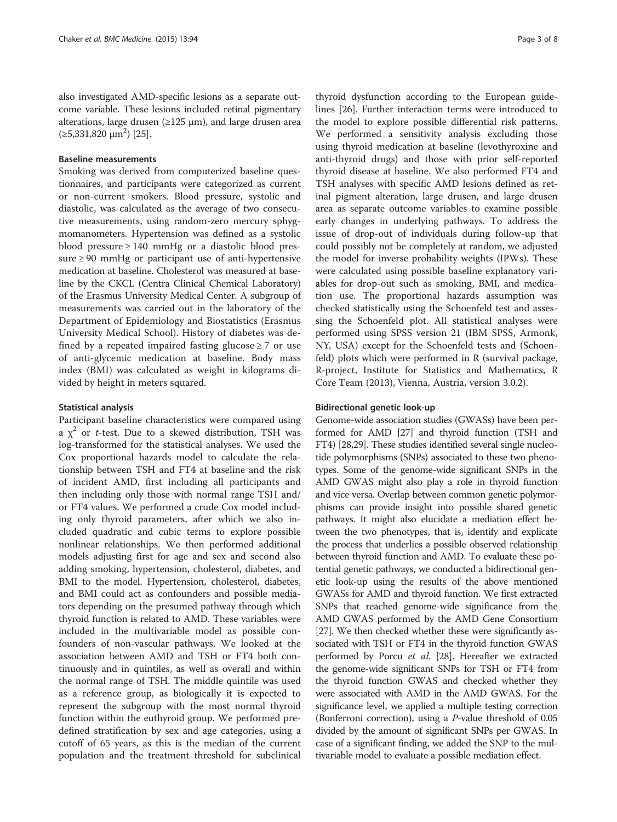also investigated AMD-specific lesions as a separate outcome variable. These lesions included retinal pigmentary alterations, large drusen ( $\geq$ 125  $\mu$ m), and large drusen area  $( \geq 5, 331, 820 \text{ }\mu\text{m}^2)$  [\[25\]](#page-7-0).

#### Baseline measurements

Smoking was derived from computerized baseline questionnaires, and participants were categorized as current or non-current smokers. Blood pressure, systolic and diastolic, was calculated as the average of two consecutive measurements, using random-zero mercury sphygmomanometers. Hypertension was defined as a systolic blood pressure  $\geq 140$  mmHg or a diastolic blood pressure  $\geq 90$  mmHg or participant use of anti-hypertensive medication at baseline. Cholesterol was measured at baseline by the CKCL (Centra Clinical Chemical Laboratory) of the Erasmus University Medical Center. A subgroup of measurements was carried out in the laboratory of the Department of Epidemiology and Biostatistics (Erasmus University Medical School). History of diabetes was defined by a repeated impaired fasting glucose  $\geq 7$  or use of anti-glycemic medication at baseline. Body mass index (BMI) was calculated as weight in kilograms divided by height in meters squared.

#### Statistical analysis

Participant baseline characteristics were compared using a  $\chi^2$  or *t*-test. Due to a skewed distribution, TSH was log-transformed for the statistical analyses. We used the Cox proportional hazards model to calculate the relationship between TSH and FT4 at baseline and the risk of incident AMD, first including all participants and then including only those with normal range TSH and/ or FT4 values. We performed a crude Cox model including only thyroid parameters, after which we also included quadratic and cubic terms to explore possible nonlinear relationships. We then performed additional models adjusting first for age and sex and second also adding smoking, hypertension, cholesterol, diabetes, and BMI to the model. Hypertension, cholesterol, diabetes, and BMI could act as confounders and possible mediators depending on the presumed pathway through which thyroid function is related to AMD. These variables were included in the multivariable model as possible confounders of non-vascular pathways. We looked at the association between AMD and TSH or FT4 both continuously and in quintiles, as well as overall and within the normal range of TSH. The middle quintile was used as a reference group, as biologically it is expected to represent the subgroup with the most normal thyroid function within the euthyroid group. We performed predefined stratification by sex and age categories, using a cutoff of 65 years, as this is the median of the current population and the treatment threshold for subclinical

thyroid dysfunction according to the European guidelines [\[26](#page-7-0)]. Further interaction terms were introduced to the model to explore possible differential risk patterns. We performed a sensitivity analysis excluding those using thyroid medication at baseline (levothyroxine and anti-thyroid drugs) and those with prior self-reported thyroid disease at baseline. We also performed FT4 and TSH analyses with specific AMD lesions defined as retinal pigment alteration, large drusen, and large drusen area as separate outcome variables to examine possible early changes in underlying pathways. To address the issue of drop-out of individuals during follow-up that could possibly not be completely at random, we adjusted the model for inverse probability weights (IPWs). These were calculated using possible baseline explanatory variables for drop-out such as smoking, BMI, and medication use. The proportional hazards assumption was checked statistically using the Schoenfeld test and assessing the Schoenfeld plot. All statistical analyses were performed using SPSS version 21 (IBM SPSS, Armonk, NY, USA) except for the Schoenfeld tests and (Schoenfeld) plots which were performed in R (survival package, R-project, Institute for Statistics and Mathematics, R Core Team (2013), Vienna, Austria, version 3.0.2).

#### Bidirectional genetic look-up

Genome-wide association studies (GWASs) have been performed for AMD [[27](#page-7-0)] and thyroid function (TSH and FT4) [[28,29\]](#page-7-0). These studies identified several single nucleotide polymorphisms (SNPs) associated to these two phenotypes. Some of the genome-wide significant SNPs in the AMD GWAS might also play a role in thyroid function and vice versa. Overlap between common genetic polymorphisms can provide insight into possible shared genetic pathways. It might also elucidate a mediation effect between the two phenotypes, that is, identify and explicate the process that underlies a possible observed relationship between thyroid function and AMD. To evaluate these potential genetic pathways, we conducted a bidirectional genetic look-up using the results of the above mentioned GWASs for AMD and thyroid function. We first extracted SNPs that reached genome-wide significance from the AMD GWAS performed by the AMD Gene Consortium [[27](#page-7-0)]. We then checked whether these were significantly associated with TSH or FT4 in the thyroid function GWAS performed by Porcu et al. [\[28\]](#page-7-0). Hereafter we extracted the genome-wide significant SNPs for TSH or FT4 from the thyroid function GWAS and checked whether they were associated with AMD in the AMD GWAS. For the significance level, we applied a multiple testing correction (Bonferroni correction), using a P-value threshold of 0.05 divided by the amount of significant SNPs per GWAS. In case of a significant finding, we added the SNP to the multivariable model to evaluate a possible mediation effect.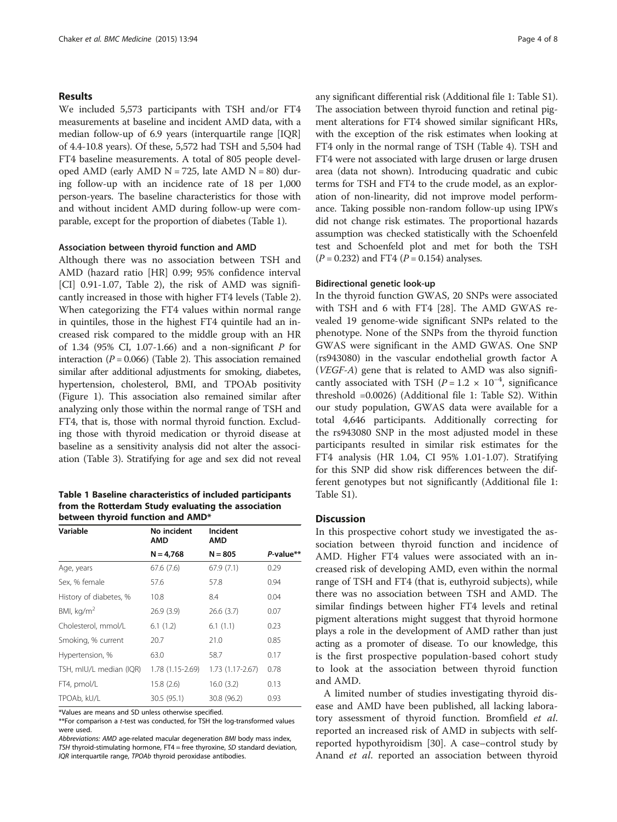#### Results

We included 5,573 participants with TSH and/or FT4 measurements at baseline and incident AMD data, with a median follow-up of 6.9 years (interquartile range [IQR] of 4.4-10.8 years). Of these, 5,572 had TSH and 5,504 had FT4 baseline measurements. A total of 805 people developed AMD (early AMD  $N = 725$ , late AMD  $N = 80$ ) during follow-up with an incidence rate of 18 per 1,000 person-years. The baseline characteristics for those with and without incident AMD during follow-up were comparable, except for the proportion of diabetes (Table 1).

#### Association between thyroid function and AMD

Although there was no association between TSH and AMD (hazard ratio [HR] 0.99; 95% confidence interval [CI] 0.91-1.07, Table [2\)](#page-4-0), the risk of AMD was significantly increased in those with higher FT4 levels (Table [2](#page-4-0)). When categorizing the FT4 values within normal range in quintiles, those in the highest FT4 quintile had an increased risk compared to the middle group with an HR of 1.34 (95% CI, 1.07-1.66) and a non-significant  $P$  for interaction  $(P = 0.066)$  (Table [2](#page-4-0)). This association remained similar after additional adjustments for smoking, diabetes, hypertension, cholesterol, BMI, and TPOAb positivity (Figure [1](#page-4-0)). This association also remained similar after analyzing only those within the normal range of TSH and FT4, that is, those with normal thyroid function. Excluding those with thyroid medication or thyroid disease at baseline as a sensitivity analysis did not alter the association (Table [3\)](#page-5-0). Stratifying for age and sex did not reveal

Table 1 Baseline characteristics of included participants from the Rotterdam Study evaluating the association between thyroid function and AMD\*

| Variable                | No incident<br>AMD | Incident<br>AMD  |           |  |
|-------------------------|--------------------|------------------|-----------|--|
|                         | $N = 4,768$        | $N = 805$        | P-value** |  |
| Age, years              | 67.6(7.6)          | 67.9(7.1)        | 0.29      |  |
| Sex, % female           | 57.6               | 57.8             | 0.94      |  |
| History of diabetes, %  | 10.8               | 8.4              | 0.04      |  |
| BMI, $kg/m2$            | 26.9(3.9)          | 26.6(3.7)        | 0.07      |  |
| Cholesterol, mmol/L     | 6.1(1.2)           | 6.1(1.1)         | 0.23      |  |
| Smoking, % current      | 20.7               | 21.0             | 0.85      |  |
| Hypertension, %         | 63.0               | 58.7             | 0.17      |  |
| TSH, mIU/L median (IQR) | 1.78 (1.15-2.69)   | 1.73 (1.17-2.67) | 0.78      |  |
| FT4, pmol/L             | 15.8 (2.6)         | 16.0(3.2)        | 0.13      |  |
| TPOAb, kU/L             | 30.5 (95.1)        | 30.8 (96.2)      | 0.93      |  |

\*Values are means and SD unless otherwise specified.

\*\*For comparison a t-test was conducted, for TSH the log-transformed values were used.

Abbreviations: AMD age-related macular degeneration BMI body mass index, TSH thyroid-stimulating hormone, FT4 = free thyroxine, SD standard deviation, IQR interquartile range, TPOAb thyroid peroxidase antibodies.

any significant differential risk (Additional file [1:](#page-6-0) Table S1). The association between thyroid function and retinal pigment alterations for FT4 showed similar significant HRs, with the exception of the risk estimates when looking at FT4 only in the normal range of TSH (Table [4\)](#page-5-0). TSH and FT4 were not associated with large drusen or large drusen area (data not shown). Introducing quadratic and cubic terms for TSH and FT4 to the crude model, as an exploration of non-linearity, did not improve model performance. Taking possible non-random follow-up using IPWs did not change risk estimates. The proportional hazards assumption was checked statistically with the Schoenfeld test and Schoenfeld plot and met for both the TSH  $(P = 0.232)$  and FT4  $(P = 0.154)$  analyses.

#### Bidirectional genetic look-up

In the thyroid function GWAS, 20 SNPs were associated with TSH and 6 with FT4 [\[28](#page-7-0)]. The AMD GWAS revealed 19 genome-wide significant SNPs related to the phenotype. None of the SNPs from the thyroid function GWAS were significant in the AMD GWAS. One SNP (rs943080) in the vascular endothelial growth factor A (VEGF-A) gene that is related to AMD was also significantly associated with TSH ( $P = 1.2 \times 10^{-4}$ , significance threshold =0.0026) (Additional file [1](#page-6-0): Table S2). Within our study population, GWAS data were available for a total 4,646 participants. Additionally correcting for the rs943080 SNP in the most adjusted model in these participants resulted in similar risk estimates for the FT4 analysis (HR 1.04, CI 95% 1.01-1.07). Stratifying for this SNP did show risk differences between the different genotypes but not significantly (Additional file [1](#page-6-0): Table S1).

#### **Discussion**

In this prospective cohort study we investigated the association between thyroid function and incidence of AMD. Higher FT4 values were associated with an increased risk of developing AMD, even within the normal range of TSH and FT4 (that is, euthyroid subjects), while there was no association between TSH and AMD. The similar findings between higher FT4 levels and retinal pigment alterations might suggest that thyroid hormone plays a role in the development of AMD rather than just acting as a promoter of disease. To our knowledge, this is the first prospective population-based cohort study to look at the association between thyroid function and AMD.

A limited number of studies investigating thyroid disease and AMD have been published, all lacking laboratory assessment of thyroid function. Bromfield et al. reported an increased risk of AMD in subjects with selfreported hypothyroidism [\[30](#page-7-0)]. A case–control study by Anand et al. reported an association between thyroid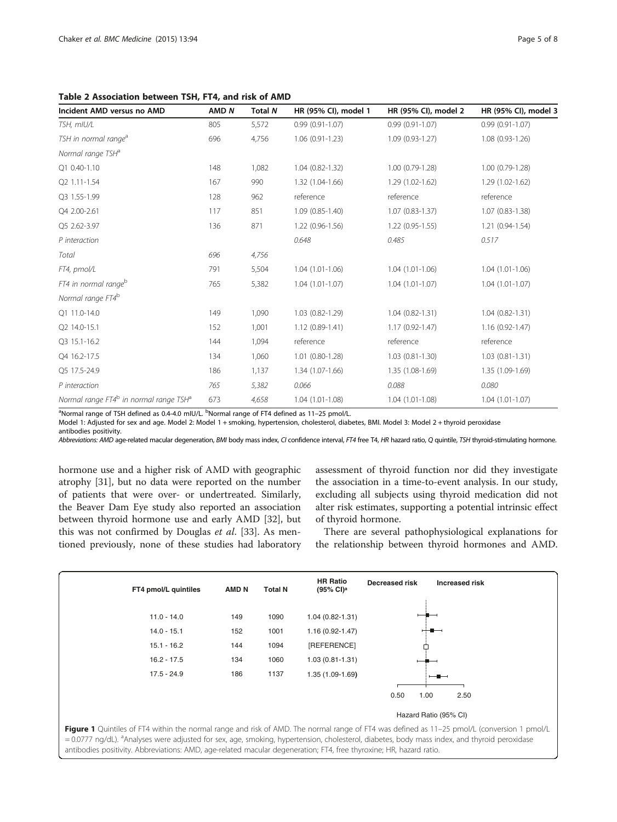<span id="page-4-0"></span>Table 2 Association between TSH, FT4, and risk of AMD

| Incident AMD versus no AMD                                                                                           | AMD N | <b>Total N</b> | HR (95% CI), model 1                       | HR (95% CI), model 2 | HR (95% CI), model 3 |  |
|----------------------------------------------------------------------------------------------------------------------|-------|----------------|--------------------------------------------|----------------------|----------------------|--|
| TSH, mIU/L                                                                                                           | 805   | 5,572          | $0.99(0.91 - 1.07)$<br>$0.99(0.91 - 1.07)$ |                      | $0.99(0.91 - 1.07)$  |  |
| TSH in normal range <sup>a</sup>                                                                                     | 696   | 4,756          | $1.06(0.91 - 1.23)$                        | $1.09(0.93-1.27)$    | $1.08(0.93-1.26)$    |  |
| Normal range TSH <sup>a</sup>                                                                                        |       |                |                                            |                      |                      |  |
| O1 0.40-1.10                                                                                                         | 148   | 1,082          | $1.04(0.82 - 1.32)$                        | 1.00 (0.79-1.28)     | 1.00 (0.79-1.28)     |  |
| Q2 1.11-1.54                                                                                                         | 167   | 990            | 1.32 (1.04-1.66)                           | $1.29(1.02 - 1.62)$  | 1.29 (1.02-1.62)     |  |
| Q3 1.55-1.99                                                                                                         | 128   | 962            | reference<br>reference                     |                      | reference            |  |
| Q4 2.00-2.61                                                                                                         | 117   | 851            | $1.09(0.85 - 1.40)$                        | $1.07(0.83 - 1.37)$  | $1.07(0.83 - 1.38)$  |  |
| Q5 2.62-3.97                                                                                                         | 136   | 871            | $1.22(0.96-1.56)$                          | $1.22(0.95-1.55)$    | $1.21(0.94-1.54)$    |  |
| P interaction                                                                                                        |       |                | 0.648                                      | 0.485                | 0.517                |  |
| Total                                                                                                                | 696   | 4,756          |                                            |                      |                      |  |
| FT4, pmol/L                                                                                                          | 791   | 5,504          | $1.04(1.01-1.06)$                          | $1.04(1.01-1.06)$    | $1.04(1.01-1.06)$    |  |
| FT4 in normal rangeb                                                                                                 | 765   | 5,382          | $1.04(1.01-1.07)$                          | $1.04(1.01-1.07)$    | $1.04(1.01-1.07)$    |  |
| Normal range FT4 <sup>b</sup>                                                                                        |       |                |                                            |                      |                      |  |
| Q1 11.0-14.0                                                                                                         | 149   | 1,090          | $1.03(0.82 - 1.29)$                        | $1.04(0.82 - 1.31)$  | $1.04(0.82 - 1.31)$  |  |
| Q2 14.0-15.1                                                                                                         | 152   | 1,001          | $1.12(0.89 - 1.41)$                        | $1.17(0.92 - 1.47)$  | $1.16(0.92 - 1.47)$  |  |
| Q3 15.1-16.2                                                                                                         | 144   | 1,094          | reference                                  | reference            | reference            |  |
| Q4 16.2-17.5                                                                                                         | 134   | 1,060          | $1.01(0.80-1.28)$                          | $1.03(0.81 - 1.30)$  | $1.03(0.81 - 1.31)$  |  |
| Q5 17.5-24.9                                                                                                         | 186   | 1,137          | 1.34 (1.07-1.66)                           | 1.35 (1.08-1.69)     | 1.35 (1.09-1.69)     |  |
| P interaction                                                                                                        | 765   | 5,382          | 0.066                                      | 0.088                | 0.080                |  |
| Normal range FT4 <sup>b</sup> in normal range TSH <sup>a</sup>                                                       | 673   | 4.658          | $1.04(1.01-1.08)$                          | $1.04(1.01-1.08)$    | $1.04(1.01-1.07)$    |  |
| <sup>a</sup> Normal range of TSH defined as 0.4-4.0 mIU/L. <sup>b</sup> Normal range of FT4 defined as 11-25 pmol/L. |       |                |                                            |                      |                      |  |

Model 1: Adjusted for sex and age. Model 2: Model 1 + smoking, hypertension, cholesterol, diabetes, BMI. Model 3: Model 2 + thyroid peroxidase

antibodies positivity. Abbreviations: AMD age-related macular degeneration, BMI body mass index, CI confidence interval, FT4 free T4, HR hazard ratio, Q quintile, TSH thyroid-stimulating hormone.

hormone use and a higher risk of AMD with geographic atrophy [[31\]](#page-7-0), but no data were reported on the number of patients that were over- or undertreated. Similarly, the Beaver Dam Eye study also reported an association between thyroid hormone use and early AMD [\[32\]](#page-7-0), but this was not confirmed by Douglas et al. [[33](#page-7-0)]. As mentioned previously, none of these studies had laboratory

assessment of thyroid function nor did they investigate the association in a time-to-event analysis. In our study, excluding all subjects using thyroid medication did not alter risk estimates, supporting a potential intrinsic effect of thyroid hormone.

There are several pathophysiological explanations for the relationship between thyroid hormones and AMD.

| FT4 pmol/L quintiles | <b>AMD N</b> | <b>Total N</b> | <b>HR Ratio</b><br>(95% CI) <sup>a</sup> | <b>Decreased risk</b> | <b>Increased risk</b> |
|----------------------|--------------|----------------|------------------------------------------|-----------------------|-----------------------|
|                      |              |                |                                          |                       |                       |
| $11.0 - 14.0$        | 149          | 1090           | $1.04(0.82 - 1.31)$                      |                       |                       |
| $14.0 - 15.1$        | 152          | 1001           | $1.16(0.92 - 1.47)$                      |                       |                       |
| $15.1 - 16.2$        | 144          | 1094           | [REFERENCE]                              | ◘                     |                       |
| $16.2 - 17.5$        | 134          | 1060           | $1.03(0.81 - 1.31)$                      | $-$                   |                       |
| $17.5 - 24.9$        | 186          | 1137           | 1.35 (1.09-1.69)                         | $\frac{1}{2}$         |                       |
|                      |              |                |                                          | 0.50<br>1.00          | 2.50                  |
|                      |              |                |                                          | Hazard Ratio (95% CI) |                       |

Figure 1 Quintiles of FT4 within the normal range and risk of AMD. The normal range of FT4 was defined as 11-25 pmol/L (conversion 1 pmol/L = 0.0777 ng/dL). <sup>a</sup>Analyses were adjusted for sex, age, smoking, hypertension, cholesterol, diabetes, body mass index, and thyroid peroxidase antibodies positivity. Abbreviations: AMD, age-related macular degeneration; FT4, free thyroxine; HR, hazard ratio.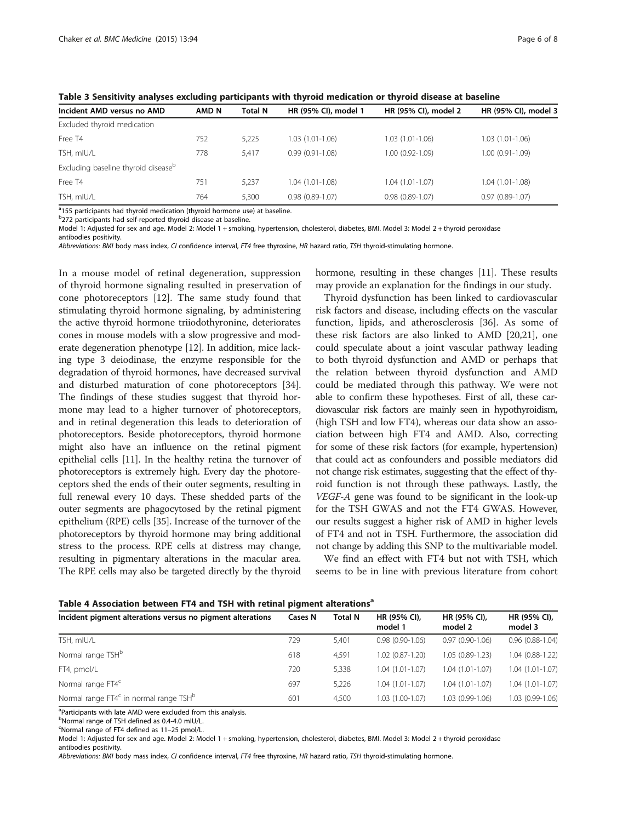| Incident AMD versus no AMD                      | AMD N | Total N | HR (95% CI), model 1 | HR (95% CI), model 2 | HR (95% CI), model 3 |
|-------------------------------------------------|-------|---------|----------------------|----------------------|----------------------|
| Excluded thyroid medication                     |       |         |                      |                      |                      |
| Free T4                                         | 752   | 5,225   | 1.03 (1.01-1.06)     | $1.03(1.01-1.06)$    | $1.03(1.01-1.06)$    |
| TSH, mIU/L                                      | 778   | 5,417   | $0.99(0.91 - 1.08)$  | $1.00(0.92 - 1.09)$  | 1.00 (0.91-1.09)     |
| Excluding baseline thyroid disease <sup>b</sup> |       |         |                      |                      |                      |
| Free T4                                         | 751   | 5,237   | 1.04 (1.01-1.08)     | $1.04(1.01-1.07)$    | $1.04(1.01-1.08)$    |
| TSH, mIU/L                                      | 764   | 5.300   | $0.98(0.89-1.07)$    | $0.98(0.89 - 1.07)$  | $0.97(0.89 - 1.07)$  |

<span id="page-5-0"></span>Table 3 Sensitivity analyses excluding participants with thyroid medication or thyroid disease at baseline

<sup>a</sup>155 participants had thyroid medication (thyroid hormone use) at baseline.

<sup>b</sup>272 participants had self-reported thyroid disease at baseline.

Model 1: Adjusted for sex and age. Model 2: Model 1 + smoking, hypertension, cholesterol, diabetes, BMI. Model 3: Model 2 + thyroid peroxidase antibodies positivity.

Abbreviations: BMI body mass index, CI confidence interval, FT4 free thyroxine, HR hazard ratio, TSH thyroid-stimulating hormone.

In a mouse model of retinal degeneration, suppression of thyroid hormone signaling resulted in preservation of cone photoreceptors [\[12](#page-7-0)]. The same study found that stimulating thyroid hormone signaling, by administering the active thyroid hormone triiodothyronine, deteriorates cones in mouse models with a slow progressive and moderate degeneration phenotype [[12\]](#page-7-0). In addition, mice lacking type 3 deiodinase, the enzyme responsible for the degradation of thyroid hormones, have decreased survival and disturbed maturation of cone photoreceptors [[34](#page-7-0)]. The findings of these studies suggest that thyroid hormone may lead to a higher turnover of photoreceptors, and in retinal degeneration this leads to deterioration of photoreceptors. Beside photoreceptors, thyroid hormone might also have an influence on the retinal pigment epithelial cells [[11\]](#page-7-0). In the healthy retina the turnover of photoreceptors is extremely high. Every day the photoreceptors shed the ends of their outer segments, resulting in full renewal every 10 days. These shedded parts of the outer segments are phagocytosed by the retinal pigment epithelium (RPE) cells [[35](#page-7-0)]. Increase of the turnover of the photoreceptors by thyroid hormone may bring additional stress to the process. RPE cells at distress may change, resulting in pigmentary alterations in the macular area. The RPE cells may also be targeted directly by the thyroid

hormone, resulting in these changes [\[11](#page-7-0)]. These results may provide an explanation for the findings in our study.

Thyroid dysfunction has been linked to cardiovascular risk factors and disease, including effects on the vascular function, lipids, and atherosclerosis [\[36](#page-7-0)]. As some of these risk factors are also linked to AMD [\[20,21\]](#page-7-0), one could speculate about a joint vascular pathway leading to both thyroid dysfunction and AMD or perhaps that the relation between thyroid dysfunction and AMD could be mediated through this pathway. We were not able to confirm these hypotheses. First of all, these cardiovascular risk factors are mainly seen in hypothyroidism, (high TSH and low FT4), whereas our data show an association between high FT4 and AMD. Also, correcting for some of these risk factors (for example, hypertension) that could act as confounders and possible mediators did not change risk estimates, suggesting that the effect of thyroid function is not through these pathways. Lastly, the VEGF-A gene was found to be significant in the look-up for the TSH GWAS and not the FT4 GWAS. However, our results suggest a higher risk of AMD in higher levels of FT4 and not in TSH. Furthermore, the association did not change by adding this SNP to the multivariable model.

We find an effect with FT4 but not with TSH, which seems to be in line with previous literature from cohort

Table 4 Association between FT4 and TSH with retinal pigment alterations<sup>a</sup>

| Incident pigment alterations versus no pigment alterations     | Cases N | Total N | HR (95% CI),<br>model 1 | HR (95% CI),<br>model 2 | HR (95% CI),<br>model 3 |  |
|----------------------------------------------------------------|---------|---------|-------------------------|-------------------------|-------------------------|--|
|                                                                |         |         |                         |                         |                         |  |
| TSH, mIU/L                                                     | 729     | 5.401   | $0.98(0.90-1.06)$       | $0.97(0.90-1.06)$       | $0.96(0.88-1.04)$       |  |
| Normal range TSH <sup>b</sup>                                  | 618     | 4.591   | $1.02(0.87-1.20)$       | $1.05(0.89-1.23)$       | 1.04 (0.88-1.22)        |  |
| FT4, pmol/L                                                    | 720     | 5.338   | $1.04(1.01-1.07)$       | $1.04(1.01-1.07)$       | 1.04 (1.01-1.07)        |  |
| Normal range FT4 <sup>c</sup>                                  | 697     | 5.226   | $1.04(1.01-1.07)$       | $1.04(1.01-1.07)$       | 1.04 (1.01-1.07)        |  |
| Normal range FT4 <sup>c</sup> in normal range TSH <sup>b</sup> | 601     | 4.500   | $1.03(1.00-1.07)$       | $1.03(0.99-1.06)$       | 1.03 (0.99-1.06)        |  |

<sup>a</sup>Participants with late AMD were excluded from this analysis.

<sup>b</sup>Normal range of TSH defined as 0.4-4.0 mIU/L.

c Normal range of FT4 defined as 11–25 pmol/L.

Model 1: Adjusted for sex and age. Model 2: Model 1 + smoking, hypertension, cholesterol, diabetes, BMI. Model 3: Model 2 + thyroid peroxidase antibodies positivity.

Abbreviations: BMI body mass index, CI confidence interval, FT4 free thyroxine, HR hazard ratio, TSH thyroid-stimulating hormone.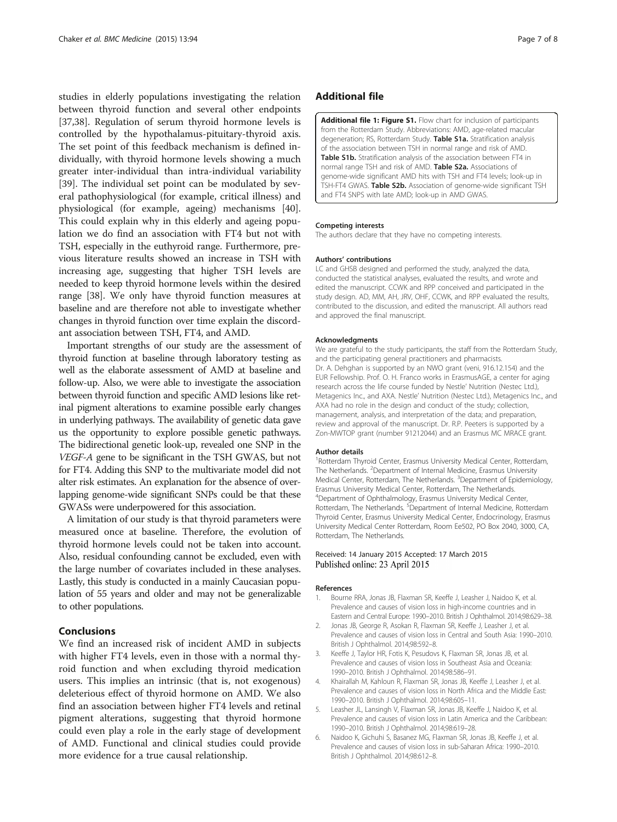<span id="page-6-0"></span>studies in elderly populations investigating the relation between thyroid function and several other endpoints [[37,38\]](#page-7-0). Regulation of serum thyroid hormone levels is controlled by the hypothalamus-pituitary-thyroid axis. The set point of this feedback mechanism is defined individually, with thyroid hormone levels showing a much greater inter-individual than intra-individual variability [[39\]](#page-7-0). The individual set point can be modulated by several pathophysiological (for example, critical illness) and physiological (for example, ageing) mechanisms [\[40](#page-7-0)]. This could explain why in this elderly and ageing population we do find an association with FT4 but not with TSH, especially in the euthyroid range. Furthermore, previous literature results showed an increase in TSH with increasing age, suggesting that higher TSH levels are needed to keep thyroid hormone levels within the desired range [[38](#page-7-0)]. We only have thyroid function measures at baseline and are therefore not able to investigate whether changes in thyroid function over time explain the discordant association between TSH, FT4, and AMD.

Important strengths of our study are the assessment of thyroid function at baseline through laboratory testing as well as the elaborate assessment of AMD at baseline and follow-up. Also, we were able to investigate the association between thyroid function and specific AMD lesions like retinal pigment alterations to examine possible early changes in underlying pathways. The availability of genetic data gave us the opportunity to explore possible genetic pathways. The bidirectional genetic look-up, revealed one SNP in the VEGF-A gene to be significant in the TSH GWAS, but not for FT4. Adding this SNP to the multivariate model did not alter risk estimates. An explanation for the absence of overlapping genome-wide significant SNPs could be that these GWASs were underpowered for this association.

A limitation of our study is that thyroid parameters were measured once at baseline. Therefore, the evolution of thyroid hormone levels could not be taken into account. Also, residual confounding cannot be excluded, even with the large number of covariates included in these analyses. Lastly, this study is conducted in a mainly Caucasian population of 55 years and older and may not be generalizable to other populations.

# Conclusions

We find an increased risk of incident AMD in subjects with higher FT4 levels, even in those with a normal thyroid function and when excluding thyroid medication users. This implies an intrinsic (that is, not exogenous) deleterious effect of thyroid hormone on AMD. We also find an association between higher FT4 levels and retinal pigment alterations, suggesting that thyroid hormone could even play a role in the early stage of development of AMD. Functional and clinical studies could provide more evidence for a true causal relationship.

# Additional file

[Additional file 1: Figure S1.](http://www.biomedcentral.com/content/supplementary/s12916-015-0329-0-s1.docx) Flow chart for inclusion of participants from the Rotterdam Study. Abbreviations: AMD, age-related macular degeneration; RS, Rotterdam Study. Table S1a. Stratification analysis of the association between TSH in normal range and risk of AMD. Table S1b. Stratification analysis of the association between FT4 in normal range TSH and risk of AMD. Table S2a. Associations of genome-wide significant AMD hits with TSH and FT4 levels; look-up in TSH-FT4 GWAS. Table S2b. Association of genome-wide significant TSH and FT4 SNPS with late AMD; look-up in AMD GWAS.

#### Competing interests

The authors declare that they have no competing interests.

#### Authors' contributions

LC and GHSB designed and performed the study, analyzed the data, conducted the statistical analyses, evaluated the results, and wrote and edited the manuscript. CCWK and RPP conceived and participated in the study design. AD, MM, AH, JRV, OHF, CCWK, and RPP evaluated the results, contributed to the discussion, and edited the manuscript. All authors read and approved the final manuscript.

#### Acknowledgments

We are grateful to the study participants, the staff from the Rotterdam Study, and the participating general practitioners and pharmacists. Dr. A. Dehghan is supported by an NWO grant (veni, 916.12.154) and the EUR Fellowship. Prof. O. H. Franco works in ErasmusAGE, a center for aging research across the life course funded by Nestle' Nutrition (Nestec Ltd.), Metagenics Inc., and AXA. Nestle' Nutrition (Nestec Ltd.), Metagenics Inc., and AXA had no role in the design and conduct of the study; collection, management, analysis, and interpretation of the data; and preparation, review and approval of the manuscript. Dr. R.P. Peeters is supported by a Zon-MWTOP grant (number 91212044) and an Erasmus MC MRACE grant.

#### Author details

<sup>1</sup> Rotterdam Thyroid Center, Erasmus University Medical Center, Rotterdam, The Netherlands. <sup>2</sup>Department of Internal Medicine, Erasmus University Medical Center, Rotterdam, The Netherlands. <sup>3</sup>Department of Epidemiology, Erasmus University Medical Center, Rotterdam, The Netherlands. 4 Department of Ophthalmology, Erasmus University Medical Center, Rotterdam, The Netherlands. <sup>5</sup> Department of Internal Medicine, Rotterdam Thyroid Center, Erasmus University Medical Center, Endocrinology, Erasmus University Medical Center Rotterdam, Room Ee502, PO Box 2040, 3000, CA, Rotterdam, The Netherlands.

#### Received: 14 January 2015 Accepted: 17 March 2015 Published online: 23 April 2015

#### References

- 1. Bourne RRA, Jonas JB, Flaxman SR, Keeffe J, Leasher J, Naidoo K, et al. Prevalence and causes of vision loss in high-income countries and in Eastern and Central Europe: 1990–2010. British J Ophthalmol. 2014;98:629–38.
- 2. Jonas JB, George R, Asokan R, Flaxman SR, Keeffe J, Leasher J, et al. Prevalence and causes of vision loss in Central and South Asia: 1990–2010. British J Ophthalmol. 2014;98:592–8.
- 3. Keeffe J, Taylor HR, Fotis K, Pesudovs K, Flaxman SR, Jonas JB, et al. Prevalence and causes of vision loss in Southeast Asia and Oceania: 1990–2010. British J Ophthalmol. 2014;98:586–91.
- 4. Khairallah M, Kahloun R, Flaxman SR, Jonas JB, Keeffe J, Leasher J, et al. Prevalence and causes of vision loss in North Africa and the Middle East: 1990–2010. British J Ophthalmol. 2014;98:605–11.
- 5. Leasher JL, Lansingh V, Flaxman SR, Jonas JB, Keeffe J, Naidoo K, et al. Prevalence and causes of vision loss in Latin America and the Caribbean: 1990–2010. British J Ophthalmol. 2014;98:619–28.
- 6. Naidoo K, Gichuhi S, Basanez MG, Flaxman SR, Jonas JB, Keeffe J, et al. Prevalence and causes of vision loss in sub-Saharan Africa: 1990–2010. British J Ophthalmol. 2014;98:612–8.